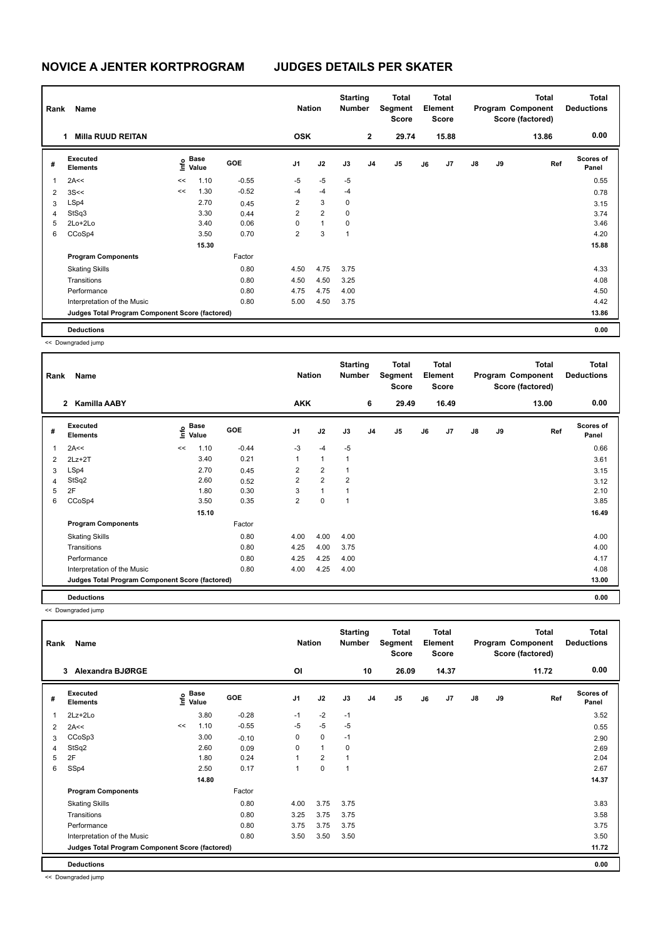| Rank           | Name                                            |    |                           |            | <b>Nation</b>  |                | <b>Starting</b><br><b>Number</b> |                | <b>Total</b><br>Segment<br><b>Score</b> |    | <b>Total</b><br>Element<br><b>Score</b> |               |    | <b>Total</b><br>Program Component<br>Score (factored) | <b>Total</b><br><b>Deductions</b> |
|----------------|-------------------------------------------------|----|---------------------------|------------|----------------|----------------|----------------------------------|----------------|-----------------------------------------|----|-----------------------------------------|---------------|----|-------------------------------------------------------|-----------------------------------|
|                | <b>Milla RUUD REITAN</b><br>1.                  |    |                           |            | <b>OSK</b>     |                |                                  | $\overline{2}$ | 29.74                                   |    | 15.88                                   |               |    | 13.86                                                 | 0.00                              |
| #              | Executed<br><b>Elements</b>                     |    | Base<br>e Base<br>⊆ Value | <b>GOE</b> | J <sub>1</sub> | J2             | J3                               | J <sub>4</sub> | J <sub>5</sub>                          | J6 | J <sub>7</sub>                          | $\mathsf{J}8$ | J9 | Ref                                                   | <b>Scores of</b><br>Panel         |
| $\overline{1}$ | 2A<<                                            | << | 1.10                      | $-0.55$    | $-5$           | $-5$           | $-5$                             |                |                                         |    |                                         |               |    |                                                       | 0.55                              |
| 2              | 3S<<                                            | << | 1.30                      | $-0.52$    | $-4$           | $-4$           | $-4$                             |                |                                         |    |                                         |               |    |                                                       | 0.78                              |
| 3              | LSp4                                            |    | 2.70                      | 0.45       | $\overline{2}$ | 3              | 0                                |                |                                         |    |                                         |               |    |                                                       | 3.15                              |
| 4              | StSq3                                           |    | 3.30                      | 0.44       | $\overline{2}$ | $\overline{2}$ | 0                                |                |                                         |    |                                         |               |    |                                                       | 3.74                              |
| 5              | $2Lo+2Lo$                                       |    | 3.40                      | 0.06       | 0              | $\mathbf{1}$   | 0                                |                |                                         |    |                                         |               |    |                                                       | 3.46                              |
| 6              | CCoSp4                                          |    | 3.50                      | 0.70       | $\overline{2}$ | 3              | 1                                |                |                                         |    |                                         |               |    |                                                       | 4.20                              |
|                |                                                 |    | 15.30                     |            |                |                |                                  |                |                                         |    |                                         |               |    |                                                       | 15.88                             |
|                | <b>Program Components</b>                       |    |                           | Factor     |                |                |                                  |                |                                         |    |                                         |               |    |                                                       |                                   |
|                | <b>Skating Skills</b>                           |    |                           | 0.80       | 4.50           | 4.75           | 3.75                             |                |                                         |    |                                         |               |    |                                                       | 4.33                              |
|                | Transitions                                     |    |                           | 0.80       | 4.50           | 4.50           | 3.25                             |                |                                         |    |                                         |               |    |                                                       | 4.08                              |
|                | Performance                                     |    |                           | 0.80       | 4.75           | 4.75           | 4.00                             |                |                                         |    |                                         |               |    |                                                       | 4.50                              |
|                | Interpretation of the Music                     |    |                           | 0.80       | 5.00           | 4.50           | 3.75                             |                |                                         |    |                                         |               |    |                                                       | 4.42                              |
|                | Judges Total Program Component Score (factored) |    |                           |            |                |                |                                  |                |                                         |    |                                         |               |    |                                                       | 13.86                             |
|                | <b>Deductions</b>                               |    |                           |            |                |                |                                  |                |                                         |    |                                         |               |    |                                                       | 0.00                              |

<< Downgraded jump

| Rank           | Name                                            |      |               |            | <b>Nation</b>  |                | <b>Starting</b><br><b>Number</b> |                | Total<br>Segment<br><b>Score</b> |    | <b>Total</b><br>Element<br><b>Score</b> |               |    | <b>Total</b><br>Program Component<br>Score (factored) | <b>Total</b><br><b>Deductions</b> |
|----------------|-------------------------------------------------|------|---------------|------------|----------------|----------------|----------------------------------|----------------|----------------------------------|----|-----------------------------------------|---------------|----|-------------------------------------------------------|-----------------------------------|
|                | <b>Kamilla AABY</b><br>$\overline{2}$           |      |               |            | <b>AKK</b>     |                |                                  | 6              | 29.49                            |    | 16.49                                   |               |    | 13.00                                                 | 0.00                              |
| #              | Executed<br><b>Elements</b>                     | Info | Base<br>Value | <b>GOE</b> | J <sub>1</sub> | J2             | J3                               | J <sub>4</sub> | J5                               | J6 | J <sub>7</sub>                          | $\mathsf{J}8$ | J9 | Ref                                                   | <b>Scores of</b><br>Panel         |
| $\overline{1}$ | 2A<<                                            | <<   | 1.10          | $-0.44$    | $-3$           | $-4$           | $-5$                             |                |                                  |    |                                         |               |    |                                                       | 0.66                              |
| 2              | $2Lz+2T$                                        |      | 3.40          | 0.21       | $\mathbf{1}$   | $\mathbf{1}$   | $\mathbf{1}$                     |                |                                  |    |                                         |               |    |                                                       | 3.61                              |
| 3              | LSp4                                            |      | 2.70          | 0.45       | $\overline{2}$ | $\overline{2}$ | 1                                |                |                                  |    |                                         |               |    |                                                       | 3.15                              |
| $\overline{4}$ | StSq2                                           |      | 2.60          | 0.52       | $\overline{2}$ | $\overline{2}$ | $\overline{2}$                   |                |                                  |    |                                         |               |    |                                                       | 3.12                              |
| 5              | 2F                                              |      | 1.80          | 0.30       | 3              | $\mathbf{1}$   | 1                                |                |                                  |    |                                         |               |    |                                                       | 2.10                              |
| 6              | CCoSp4                                          |      | 3.50          | 0.35       | $\overline{2}$ | 0              | 1                                |                |                                  |    |                                         |               |    |                                                       | 3.85                              |
|                |                                                 |      | 15.10         |            |                |                |                                  |                |                                  |    |                                         |               |    |                                                       | 16.49                             |
|                | <b>Program Components</b>                       |      |               | Factor     |                |                |                                  |                |                                  |    |                                         |               |    |                                                       |                                   |
|                | <b>Skating Skills</b>                           |      |               | 0.80       | 4.00           | 4.00           | 4.00                             |                |                                  |    |                                         |               |    |                                                       | 4.00                              |
|                | Transitions                                     |      |               | 0.80       | 4.25           | 4.00           | 3.75                             |                |                                  |    |                                         |               |    |                                                       | 4.00                              |
|                | Performance                                     |      |               | 0.80       | 4.25           | 4.25           | 4.00                             |                |                                  |    |                                         |               |    |                                                       | 4.17                              |
|                | Interpretation of the Music                     |      |               | 0.80       | 4.00           | 4.25           | 4.00                             |                |                                  |    |                                         |               |    |                                                       | 4.08                              |
|                | Judges Total Program Component Score (factored) |      |               |            |                |                |                                  |                |                                  |    |                                         |               |    |                                                       | 13.00                             |
|                | <b>Deductions</b>                               |      |               |            |                |                |                                  |                |                                  |    |                                         |               |    |                                                       | 0.00                              |

<< Downgraded jump

L

| Rank | Name                                            |    |                                           |            | <b>Nation</b>  |                | <b>Starting</b><br><b>Number</b> |                | <b>Total</b><br>Segment<br><b>Score</b> |    | <b>Total</b><br><b>Element</b><br><b>Score</b> |               |    | <b>Total</b><br>Program Component<br>Score (factored) | <b>Total</b><br><b>Deductions</b> |
|------|-------------------------------------------------|----|-------------------------------------------|------------|----------------|----------------|----------------------------------|----------------|-----------------------------------------|----|------------------------------------------------|---------------|----|-------------------------------------------------------|-----------------------------------|
|      | Alexandra BJØRGE<br>3                           |    |                                           |            | OI             |                |                                  | 10             | 26.09                                   |    | 14.37                                          |               |    | 11.72                                                 | 0.00                              |
| #    | <b>Executed</b><br><b>Elements</b>              |    | $\frac{6}{5}$ Base<br>$\frac{1}{5}$ Value | <b>GOE</b> | J <sub>1</sub> | J2             | J3                               | J <sub>4</sub> | J5                                      | J6 | J <sub>7</sub>                                 | $\mathsf{J}8$ | J9 | Ref                                                   | <b>Scores of</b><br>Panel         |
| 1    | 2Lz+2Lo                                         |    | 3.80                                      | $-0.28$    | $-1$           | $-2$           | $-1$                             |                |                                         |    |                                                |               |    |                                                       | 3.52                              |
| 2    | 2A<<                                            | << | 1.10                                      | $-0.55$    | $-5$           | $-5$           | $-5$                             |                |                                         |    |                                                |               |    |                                                       | 0.55                              |
| 3    | CCoSp3                                          |    | 3.00                                      | $-0.10$    | 0              | $\mathbf 0$    | $-1$                             |                |                                         |    |                                                |               |    |                                                       | 2.90                              |
| 4    | StSq2                                           |    | 2.60                                      | 0.09       | 0              | $\mathbf{1}$   | 0                                |                |                                         |    |                                                |               |    |                                                       | 2.69                              |
| 5    | 2F                                              |    | 1.80                                      | 0.24       |                | $\overline{2}$ |                                  |                |                                         |    |                                                |               |    |                                                       | 2.04                              |
| 6    | SSp4                                            |    | 2.50                                      | 0.17       |                | $\mathbf 0$    | 1                                |                |                                         |    |                                                |               |    |                                                       | 2.67                              |
|      |                                                 |    | 14.80                                     |            |                |                |                                  |                |                                         |    |                                                |               |    |                                                       | 14.37                             |
|      | <b>Program Components</b>                       |    |                                           | Factor     |                |                |                                  |                |                                         |    |                                                |               |    |                                                       |                                   |
|      | <b>Skating Skills</b>                           |    |                                           | 0.80       | 4.00           | 3.75           | 3.75                             |                |                                         |    |                                                |               |    |                                                       | 3.83                              |
|      | Transitions                                     |    |                                           | 0.80       | 3.25           | 3.75           | 3.75                             |                |                                         |    |                                                |               |    |                                                       | 3.58                              |
|      | Performance                                     |    |                                           | 0.80       | 3.75           | 3.75           | 3.75                             |                |                                         |    |                                                |               |    |                                                       | 3.75                              |
|      | Interpretation of the Music                     |    |                                           | 0.80       | 3.50           | 3.50           | 3.50                             |                |                                         |    |                                                |               |    |                                                       | 3.50                              |
|      | Judges Total Program Component Score (factored) |    |                                           |            |                |                |                                  |                |                                         |    |                                                |               |    |                                                       | 11.72                             |
|      | <b>Deductions</b>                               |    |                                           |            |                |                |                                  |                |                                         |    |                                                |               |    |                                                       | 0.00                              |

<< Downgraded jump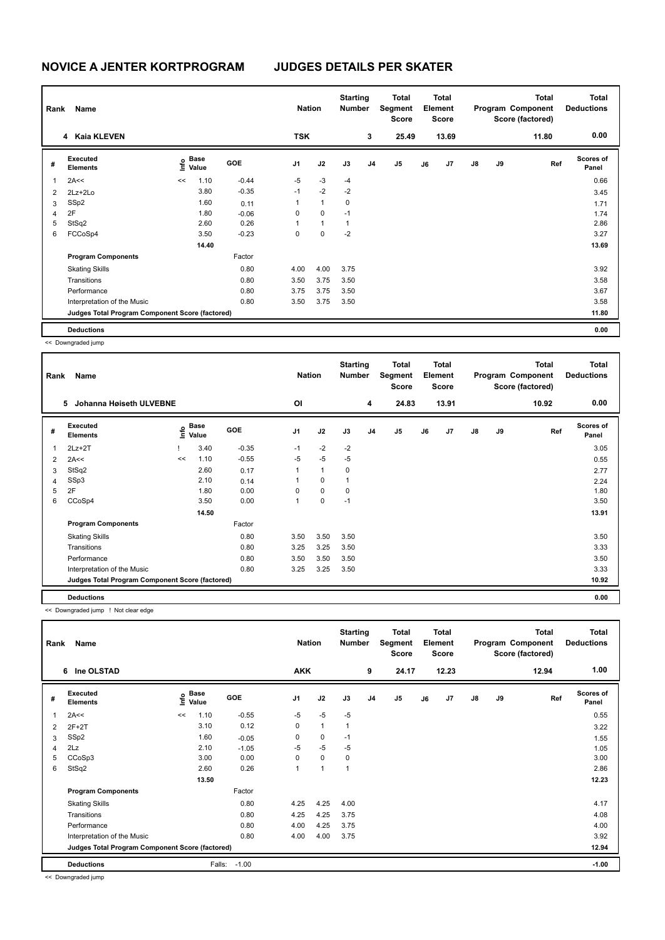| Rank           | Name                                            |    |                                  |            | <b>Nation</b>  |              | <b>Starting</b><br><b>Number</b> |                | <b>Total</b><br>Segment<br><b>Score</b> |    | Total<br>Element<br><b>Score</b> |               |    | Total<br>Program Component<br>Score (factored) | <b>Total</b><br><b>Deductions</b> |
|----------------|-------------------------------------------------|----|----------------------------------|------------|----------------|--------------|----------------------------------|----------------|-----------------------------------------|----|----------------------------------|---------------|----|------------------------------------------------|-----------------------------------|
|                | 4 Kaia KLEVEN                                   |    |                                  |            | <b>TSK</b>     |              |                                  | 3              | 25.49                                   |    | 13.69                            |               |    | 11.80                                          | 0.00                              |
| #              | Executed<br><b>Elements</b>                     |    | <b>Base</b><br>e Base<br>⊆ Value | <b>GOE</b> | J <sub>1</sub> | J2           | J3                               | J <sub>4</sub> | J <sub>5</sub>                          | J6 | J <sub>7</sub>                   | $\mathsf{J}8$ | J9 | Ref                                            | <b>Scores of</b><br>Panel         |
| $\overline{1}$ | 2A<<                                            | << | 1.10                             | $-0.44$    | $-5$           | $-3$         | $-4$                             |                |                                         |    |                                  |               |    |                                                | 0.66                              |
| 2              | $2Lz+2Lo$                                       |    | 3.80                             | $-0.35$    | $-1$           | $-2$         | $-2$                             |                |                                         |    |                                  |               |    |                                                | 3.45                              |
| 3              | SSp2                                            |    | 1.60                             | 0.11       | 1              | $\mathbf{1}$ | 0                                |                |                                         |    |                                  |               |    |                                                | 1.71                              |
| 4              | 2F                                              |    | 1.80                             | $-0.06$    | 0              | $\mathbf 0$  | $-1$                             |                |                                         |    |                                  |               |    |                                                | 1.74                              |
| 5              | StSq2                                           |    | 2.60                             | 0.26       | 1              | $\mathbf{1}$ | 1                                |                |                                         |    |                                  |               |    |                                                | 2.86                              |
| 6              | FCCoSp4                                         |    | 3.50                             | $-0.23$    | 0              | $\mathbf 0$  | $-2$                             |                |                                         |    |                                  |               |    |                                                | 3.27                              |
|                |                                                 |    | 14.40                            |            |                |              |                                  |                |                                         |    |                                  |               |    |                                                | 13.69                             |
|                | <b>Program Components</b>                       |    |                                  | Factor     |                |              |                                  |                |                                         |    |                                  |               |    |                                                |                                   |
|                | <b>Skating Skills</b>                           |    |                                  | 0.80       | 4.00           | 4.00         | 3.75                             |                |                                         |    |                                  |               |    |                                                | 3.92                              |
|                | Transitions                                     |    |                                  | 0.80       | 3.50           | 3.75         | 3.50                             |                |                                         |    |                                  |               |    |                                                | 3.58                              |
|                | Performance                                     |    |                                  | 0.80       | 3.75           | 3.75         | 3.50                             |                |                                         |    |                                  |               |    |                                                | 3.67                              |
|                | Interpretation of the Music                     |    |                                  | 0.80       | 3.50           | 3.75         | 3.50                             |                |                                         |    |                                  |               |    |                                                | 3.58                              |
|                | Judges Total Program Component Score (factored) |    |                                  |            |                |              |                                  |                |                                         |    |                                  |               |    |                                                | 11.80                             |
|                | <b>Deductions</b>                               |    |                                  |            |                |              |                                  |                |                                         |    |                                  |               |    |                                                | 0.00                              |

<< Downgraded jump

| Rank           | Name                                            |    |                                  |            | <b>Nation</b> |              | <b>Starting</b><br><b>Number</b> |                | Total<br>Segment<br><b>Score</b> |    | <b>Total</b><br>Element<br><b>Score</b> |               |    | <b>Total</b><br>Program Component<br>Score (factored) | <b>Total</b><br><b>Deductions</b> |
|----------------|-------------------------------------------------|----|----------------------------------|------------|---------------|--------------|----------------------------------|----------------|----------------------------------|----|-----------------------------------------|---------------|----|-------------------------------------------------------|-----------------------------------|
|                | Johanna Høiseth ULVEBNE<br>5                    |    |                                  |            | OI            |              |                                  | 4              | 24.83                            |    | 13.91                                   |               |    | 10.92                                                 | 0.00                              |
| #              | Executed<br><b>Elements</b>                     |    | <b>Base</b><br>o Base<br>⊆ Value | <b>GOE</b> | J1            | J2           | J3                               | J <sub>4</sub> | J <sub>5</sub>                   | J6 | J <sub>7</sub>                          | $\mathsf{J}8$ | J9 | Ref                                                   | <b>Scores of</b><br>Panel         |
| 1              | $2Lz+2T$                                        |    | 3.40                             | $-0.35$    | $-1$          | $-2$         | $-2$                             |                |                                  |    |                                         |               |    |                                                       | 3.05                              |
| 2              | 2A<<                                            | << | 1.10                             | $-0.55$    | $-5$          | $-5$         | $-5$                             |                |                                  |    |                                         |               |    |                                                       | 0.55                              |
| 3              | StSq2                                           |    | 2.60                             | 0.17       |               | $\mathbf{1}$ | 0                                |                |                                  |    |                                         |               |    |                                                       | 2.77                              |
| $\overline{4}$ | SSp3                                            |    | 2.10                             | 0.14       |               | 0            | 1                                |                |                                  |    |                                         |               |    |                                                       | 2.24                              |
| 5              | 2F                                              |    | 1.80                             | 0.00       | $\Omega$      | 0            | 0                                |                |                                  |    |                                         |               |    |                                                       | 1.80                              |
| 6              | CCoSp4                                          |    | 3.50                             | 0.00       | 1             | 0            | $-1$                             |                |                                  |    |                                         |               |    |                                                       | 3.50                              |
|                |                                                 |    | 14.50                            |            |               |              |                                  |                |                                  |    |                                         |               |    |                                                       | 13.91                             |
|                | <b>Program Components</b>                       |    |                                  | Factor     |               |              |                                  |                |                                  |    |                                         |               |    |                                                       |                                   |
|                | <b>Skating Skills</b>                           |    |                                  | 0.80       | 3.50          | 3.50         | 3.50                             |                |                                  |    |                                         |               |    |                                                       | 3.50                              |
|                | Transitions                                     |    |                                  | 0.80       | 3.25          | 3.25         | 3.50                             |                |                                  |    |                                         |               |    |                                                       | 3.33                              |
|                | Performance                                     |    |                                  | 0.80       | 3.50          | 3.50         | 3.50                             |                |                                  |    |                                         |               |    |                                                       | 3.50                              |
|                | Interpretation of the Music                     |    |                                  | 0.80       | 3.25          | 3.25         | 3.50                             |                |                                  |    |                                         |               |    |                                                       | 3.33                              |
|                | Judges Total Program Component Score (factored) |    |                                  |            |               |              |                                  |                |                                  |    |                                         |               |    |                                                       | 10.92                             |
|                | <b>Deductions</b>                               |    |                                  |            |               |              |                                  |                |                                  |    |                                         |               |    |                                                       | 0.00                              |

<< Downgraded jump ! Not clear edge

| Rank | Name                                            |      |               |            | <b>Nation</b>  |                | <b>Starting</b><br><b>Number</b> |                | Total<br>Segment<br>Score |    | Total<br>Element<br><b>Score</b> |               |    | <b>Total</b><br>Program Component<br>Score (factored) | Total<br><b>Deductions</b> |
|------|-------------------------------------------------|------|---------------|------------|----------------|----------------|----------------------------------|----------------|---------------------------|----|----------------------------------|---------------|----|-------------------------------------------------------|----------------------------|
|      | 6 Ine OLSTAD                                    |      |               |            | <b>AKK</b>     |                |                                  | 9              | 24.17                     |    | 12.23                            |               |    | 12.94                                                 | 1.00                       |
| #    | Executed<br><b>Elements</b>                     | ١nfo | Base<br>Value | <b>GOE</b> | J <sub>1</sub> | J2             | J3                               | J <sub>4</sub> | J <sub>5</sub>            | J6 | J7                               | $\mathsf{J}8$ | J9 | Ref                                                   | Scores of<br>Panel         |
|      | 2A<<                                            | <<   | 1.10          | $-0.55$    | $-5$           | $-5$           | $-5$                             |                |                           |    |                                  |               |    |                                                       | 0.55                       |
| 2    | $2F+2T$                                         |      | 3.10          | 0.12       | 0              | $\mathbf{1}$   | 1                                |                |                           |    |                                  |               |    |                                                       | 3.22                       |
| 3    | SSp2                                            |      | 1.60          | $-0.05$    | 0              | $\mathbf 0$    | $-1$                             |                |                           |    |                                  |               |    |                                                       | 1.55                       |
| 4    | 2Lz                                             |      | 2.10          | $-1.05$    | $-5$           | $-5$           | $-5$                             |                |                           |    |                                  |               |    |                                                       | 1.05                       |
| 5    | CCoSp3                                          |      | 3.00          | 0.00       | 0              | $\mathbf 0$    | 0                                |                |                           |    |                                  |               |    |                                                       | 3.00                       |
| 6    | StSq2                                           |      | 2.60          | 0.26       | 1              | $\overline{1}$ | 1                                |                |                           |    |                                  |               |    |                                                       | 2.86                       |
|      |                                                 |      | 13.50         |            |                |                |                                  |                |                           |    |                                  |               |    |                                                       | 12.23                      |
|      | <b>Program Components</b>                       |      |               | Factor     |                |                |                                  |                |                           |    |                                  |               |    |                                                       |                            |
|      | <b>Skating Skills</b>                           |      |               | 0.80       | 4.25           | 4.25           | 4.00                             |                |                           |    |                                  |               |    |                                                       | 4.17                       |
|      | Transitions                                     |      |               | 0.80       | 4.25           | 4.25           | 3.75                             |                |                           |    |                                  |               |    |                                                       | 4.08                       |
|      | Performance                                     |      |               | 0.80       | 4.00           | 4.25           | 3.75                             |                |                           |    |                                  |               |    |                                                       | 4.00                       |
|      | Interpretation of the Music                     |      |               | 0.80       | 4.00           | 4.00           | 3.75                             |                |                           |    |                                  |               |    |                                                       | 3.92                       |
|      | Judges Total Program Component Score (factored) |      |               |            |                |                |                                  |                |                           |    |                                  |               |    |                                                       | 12.94                      |
|      | <b>Deductions</b>                               |      | Falls:        | $-1.00$    |                |                |                                  |                |                           |    |                                  |               |    |                                                       | $-1.00$                    |

<< Downgraded jump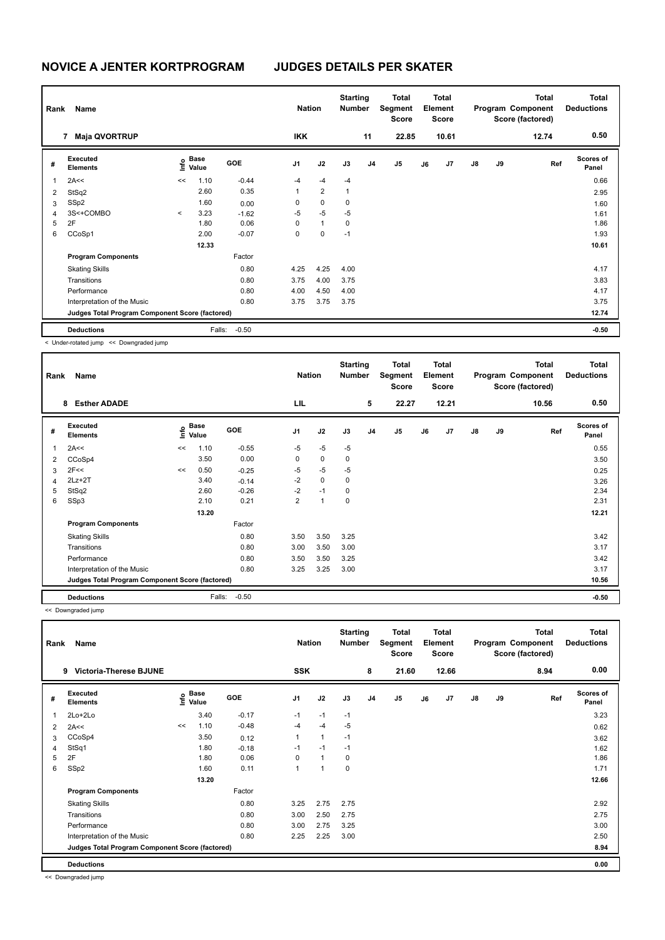| Rank           | Name                                            |         |               |            | <b>Nation</b>  |                | <b>Starting</b><br><b>Number</b> |                | <b>Total</b><br>Segment<br><b>Score</b> |    | <b>Total</b><br>Element<br><b>Score</b> |               |    | <b>Total</b><br>Program Component<br>Score (factored) | <b>Total</b><br><b>Deductions</b> |
|----------------|-------------------------------------------------|---------|---------------|------------|----------------|----------------|----------------------------------|----------------|-----------------------------------------|----|-----------------------------------------|---------------|----|-------------------------------------------------------|-----------------------------------|
|                | <b>Maja QVORTRUP</b><br>7                       |         |               |            | <b>IKK</b>     |                |                                  | 11             | 22.85                                   |    | 10.61                                   |               |    | 12.74                                                 | 0.50                              |
| #              | Executed<br><b>Elements</b>                     | lnfo    | Base<br>Value | <b>GOE</b> | J <sub>1</sub> | J2             | J3                               | J <sub>4</sub> | J <sub>5</sub>                          | J6 | J <sub>7</sub>                          | $\mathsf{J}8$ | J9 | Ref                                                   | Scores of<br>Panel                |
| 1              | 2A<<                                            | <<      | 1.10          | $-0.44$    | $-4$           | $-4$           | $-4$                             |                |                                         |    |                                         |               |    |                                                       | 0.66                              |
| $\overline{2}$ | StSq2                                           |         | 2.60          | 0.35       | $\mathbf{1}$   | $\overline{2}$ | 1                                |                |                                         |    |                                         |               |    |                                                       | 2.95                              |
| 3              | SSp2                                            |         | 1.60          | 0.00       | 0              | $\mathbf 0$    | 0                                |                |                                         |    |                                         |               |    |                                                       | 1.60                              |
| $\overline{4}$ | 3S<+COMBO                                       | $\prec$ | 3.23          | $-1.62$    | $-5$           | $-5$           | $-5$                             |                |                                         |    |                                         |               |    |                                                       | 1.61                              |
| 5              | 2F                                              |         | 1.80          | 0.06       | 0              | $\mathbf{1}$   | 0                                |                |                                         |    |                                         |               |    |                                                       | 1.86                              |
| 6              | CCoSp1                                          |         | 2.00          | $-0.07$    | 0              | 0              | $-1$                             |                |                                         |    |                                         |               |    |                                                       | 1.93                              |
|                |                                                 |         | 12.33         |            |                |                |                                  |                |                                         |    |                                         |               |    |                                                       | 10.61                             |
|                | <b>Program Components</b>                       |         |               | Factor     |                |                |                                  |                |                                         |    |                                         |               |    |                                                       |                                   |
|                | <b>Skating Skills</b>                           |         |               | 0.80       | 4.25           | 4.25           | 4.00                             |                |                                         |    |                                         |               |    |                                                       | 4.17                              |
|                | Transitions                                     |         |               | 0.80       | 3.75           | 4.00           | 3.75                             |                |                                         |    |                                         |               |    |                                                       | 3.83                              |
|                | Performance                                     |         |               | 0.80       | 4.00           | 4.50           | 4.00                             |                |                                         |    |                                         |               |    |                                                       | 4.17                              |
|                | Interpretation of the Music                     |         |               | 0.80       | 3.75           | 3.75           | 3.75                             |                |                                         |    |                                         |               |    |                                                       | 3.75                              |
|                | Judges Total Program Component Score (factored) |         |               |            |                |                |                                  |                |                                         |    |                                         |               |    |                                                       | 12.74                             |
|                | <b>Deductions</b>                               |         | Falls:        | $-0.50$    |                |                |                                  |                |                                         |    |                                         |               |    |                                                       | $-0.50$                           |

< Under-rotated jump << Downgraded jump

| Rank           | Name                                            |    |                                  |         | <b>Nation</b>  |             | <b>Starting</b><br><b>Number</b> |                | Total<br>Segment<br>Score |    | <b>Total</b><br>Element<br>Score |               |    | <b>Total</b><br>Program Component<br>Score (factored) | <b>Total</b><br><b>Deductions</b> |
|----------------|-------------------------------------------------|----|----------------------------------|---------|----------------|-------------|----------------------------------|----------------|---------------------------|----|----------------------------------|---------------|----|-------------------------------------------------------|-----------------------------------|
|                | <b>Esther ADADE</b><br>8                        |    |                                  |         | LIL            |             |                                  | 5              | 22.27                     |    | 12.21                            |               |    | 10.56                                                 | 0.50                              |
| #              | Executed<br><b>Elements</b>                     |    | <b>Base</b><br>o Base<br>⊆ Value | GOE     | J <sub>1</sub> | J2          | J3                               | J <sub>4</sub> | J <sub>5</sub>            | J6 | J <sub>7</sub>                   | $\mathsf{J}8$ | J9 | Ref                                                   | <b>Scores of</b><br>Panel         |
| 1              | 2A<<                                            | << | 1.10                             | $-0.55$ | $-5$           | $-5$        | $-5$                             |                |                           |    |                                  |               |    |                                                       | 0.55                              |
| $\overline{2}$ | CCoSp4                                          |    | 3.50                             | 0.00    | 0              | $\mathbf 0$ | 0                                |                |                           |    |                                  |               |    |                                                       | 3.50                              |
| 3              | 2F<<                                            | << | 0.50                             | $-0.25$ | $-5$           | $-5$        | $-5$                             |                |                           |    |                                  |               |    |                                                       | 0.25                              |
| $\overline{4}$ | $2Lz+2T$                                        |    | 3.40                             | $-0.14$ | $-2$           | $\mathbf 0$ | 0                                |                |                           |    |                                  |               |    |                                                       | 3.26                              |
| 5              | StSq2                                           |    | 2.60                             | $-0.26$ | $-2$           | $-1$        | 0                                |                |                           |    |                                  |               |    |                                                       | 2.34                              |
| 6              | SSp3                                            |    | 2.10                             | 0.21    | 2              | 1           | 0                                |                |                           |    |                                  |               |    |                                                       | 2.31                              |
|                |                                                 |    | 13.20                            |         |                |             |                                  |                |                           |    |                                  |               |    |                                                       | 12.21                             |
|                | <b>Program Components</b>                       |    |                                  | Factor  |                |             |                                  |                |                           |    |                                  |               |    |                                                       |                                   |
|                | <b>Skating Skills</b>                           |    |                                  | 0.80    | 3.50           | 3.50        | 3.25                             |                |                           |    |                                  |               |    |                                                       | 3.42                              |
|                | Transitions                                     |    |                                  | 0.80    | 3.00           | 3.50        | 3.00                             |                |                           |    |                                  |               |    |                                                       | 3.17                              |
|                | Performance                                     |    |                                  | 0.80    | 3.50           | 3.50        | 3.25                             |                |                           |    |                                  |               |    |                                                       | 3.42                              |
|                | Interpretation of the Music                     |    |                                  | 0.80    | 3.25           | 3.25        | 3.00                             |                |                           |    |                                  |               |    |                                                       | 3.17                              |
|                | Judges Total Program Component Score (factored) |    |                                  |         |                |             |                                  |                |                           |    |                                  |               |    |                                                       | 10.56                             |
|                | <b>Deductions</b>                               |    | Falls:                           | $-0.50$ |                |             |                                  |                |                           |    |                                  |               |    |                                                       | $-0.50$                           |

<< Downgraded jump

| Rank | Name                                            |    |                                         |            | <b>Nation</b>  |                | <b>Starting</b><br><b>Number</b> |                | <b>Total</b><br>Segment<br><b>Score</b> |    | <b>Total</b><br>Element<br>Score |               |    | <b>Total</b><br>Program Component<br>Score (factored) | <b>Total</b><br><b>Deductions</b> |
|------|-------------------------------------------------|----|-----------------------------------------|------------|----------------|----------------|----------------------------------|----------------|-----------------------------------------|----|----------------------------------|---------------|----|-------------------------------------------------------|-----------------------------------|
|      | <b>Victoria-Therese BJUNE</b><br>9              |    |                                         |            | SSK            |                |                                  | 8              | 21.60                                   |    | 12.66                            |               |    | 8.94                                                  | 0.00                              |
| #    | Executed<br><b>Elements</b>                     |    | $\mathbf{e}$ Base<br>$\mathbf{e}$ Value | <b>GOE</b> | J <sub>1</sub> | J2             | J3                               | J <sub>4</sub> | J <sub>5</sub>                          | J6 | J7                               | $\mathsf{J}8$ | J9 | Ref                                                   | Scores of<br>Panel                |
|      | 2Lo+2Lo                                         |    | 3.40                                    | $-0.17$    | $-1$           | $-1$           | $-1$                             |                |                                         |    |                                  |               |    |                                                       | 3.23                              |
| 2    | 2A<<                                            | << | 1.10                                    | $-0.48$    | $-4$           | $-4$           | $-5$                             |                |                                         |    |                                  |               |    |                                                       | 0.62                              |
| 3    | CCoSp4                                          |    | 3.50                                    | 0.12       | 1              | $\mathbf{1}$   | $-1$                             |                |                                         |    |                                  |               |    |                                                       | 3.62                              |
| 4    | StSq1                                           |    | 1.80                                    | $-0.18$    | $-1$           | $-1$           | $-1$                             |                |                                         |    |                                  |               |    |                                                       | 1.62                              |
| 5    | 2F                                              |    | 1.80                                    | 0.06       | 0              | $\overline{1}$ | 0                                |                |                                         |    |                                  |               |    |                                                       | 1.86                              |
| 6    | SSp2                                            |    | 1.60                                    | 0.11       | 1              | 1              | 0                                |                |                                         |    |                                  |               |    |                                                       | 1.71                              |
|      |                                                 |    | 13.20                                   |            |                |                |                                  |                |                                         |    |                                  |               |    |                                                       | 12.66                             |
|      | <b>Program Components</b>                       |    |                                         | Factor     |                |                |                                  |                |                                         |    |                                  |               |    |                                                       |                                   |
|      | <b>Skating Skills</b>                           |    |                                         | 0.80       | 3.25           | 2.75           | 2.75                             |                |                                         |    |                                  |               |    |                                                       | 2.92                              |
|      | Transitions                                     |    |                                         | 0.80       | 3.00           | 2.50           | 2.75                             |                |                                         |    |                                  |               |    |                                                       | 2.75                              |
|      | Performance                                     |    |                                         | 0.80       | 3.00           | 2.75           | 3.25                             |                |                                         |    |                                  |               |    |                                                       | 3.00                              |
|      | Interpretation of the Music                     |    |                                         | 0.80       | 2.25           | 2.25           | 3.00                             |                |                                         |    |                                  |               |    |                                                       | 2.50                              |
|      | Judges Total Program Component Score (factored) |    |                                         |            |                |                |                                  |                |                                         |    |                                  |               |    |                                                       | 8.94                              |
|      | <b>Deductions</b>                               |    |                                         |            |                |                |                                  |                |                                         |    |                                  |               |    |                                                       | 0.00                              |

<< Downgraded jump